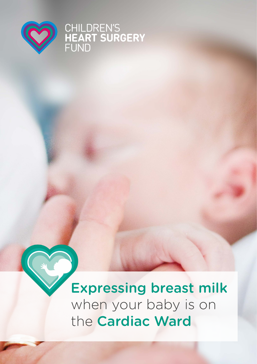

# CHILDREN'S<br>HEART SURGERY<br>FUND

Expressing breast milk when your baby is on the Cardiac Ward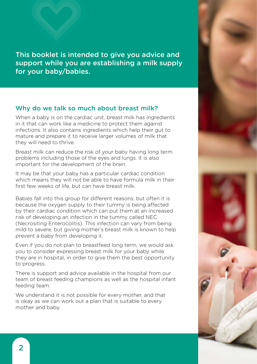This booklet is intended to give you advice and support while you are establishing a milk supply for your baby/babies.

#### Why do we talk so much about breast milk?

When a baby is on the cardiac unit, breast milk has ingredients in it that can work like a medicine to protect them against infections. It also contains ingredients which help their gut to mature and prepare it to receive larger volumes of milk that they will need to thrive.

Breast milk can reduce the risk of your baby having long term problems including those of the eyes and lungs. It is also important for the development of the brain.

It may be that your baby has a particular cardiac condition which means they will not be able to have formula milk in their first few weeks of life, but can have breast milk.

Babies fall into this group for different reasons, but often it is because the oxygen supply to their tummy is being affected by their cardiac condition which can put them at an increased risk of developing an infection in the tummy called NEC (Necrositing Enterocolitis). This infection can vary from being mild to severe, but giving mother's breast milk is known to help prevent a baby from developing it.

Even if you do not plan to breastfeed long term, we would ask you to consider expressing breast milk for your baby while they are in hospital, in order to give them the best opportunity to progress.

There is support and advice available in the hospital from our team of breast feeding champions as well as the hospital infant feeding team.

We understand it is not possible for every mother, and that is okay as we can work out a plan that is suitable to every mother and baby.

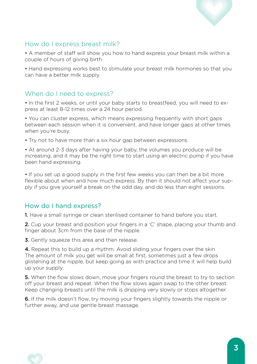

### How do I express breast milk?

• A member of staff will show you how to hand express your breast milk within a couple of hours of giving birth.

• Hand expressing works best to stimulate your breast milk hormones so that you can have a better milk supply.

### When do I need to express?

• In the first 2 weeks, or until your baby starts to breastfeed, you will need to express at least 8-12 times over a 24 hour period.

• You can cluster express, which means expressing frequently with short gaps between each session when it is convenient, and have longer gaps at other times when you're busy.

• Try not to have more than a six hour gap between expressions.

• At around 2-3 days after having your baby, the volumes you produce will be increasing, and it may be the right time to start using an electric pump if you have been hand expressing.

• If you set up a good supply in the first few weeks you can then be a bit more flexible about when and how much express. By then it should not affect your supply if you give yourself a break on the odd day, and do less than eight sessions.

#### How do I hand express?

1. Have a small syringe or clean sterilised container to hand before you start.

2. Cup your breast and position your fingers in a 'C' shape, placing your thumb and finger about 3cm from the base of the nipple.

**3.** Gently squeeze this area and then release.

4. Repeat this to build up a rhythm. Avoid sliding your fingers over the skin The amount of milk you get will be small at first, sometimes just a few drops glistening at the nipple, but keep going as with practice and time it will help build up your supply.

**5.** When the flow slows down, move your fingers round the breast to try to section off your breast and repeat. When the flow slows again swap to the other breast. Keep changing breasts until the milk is dripping very slowly or stops altogether.

6. If the milk doesn't flow, try moving your fingers slightly towards the nipple or further away, and use gentle breast massage.

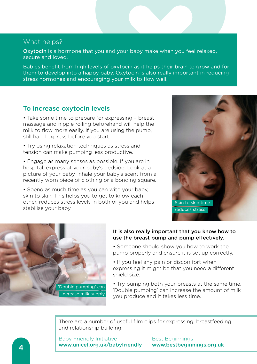#### What helps?

Oxytocin is a hormone that you and your baby make when you feel relaxed, secure and loved.

Babies benefit from high levels of oxytocin as it helps their brain to grow and for them to develop into a happy baby. Oxytocin is also really important in reducing stress hormones and encouraging your milk to flow well.

#### To increase oxytocin levels

• Take some time to prepare for expressing – breast massage and nipple rolling beforehand will help the milk to flow more easily. If you are using the pump, still hand express before you start.

• Try using relaxation techniques as stress and tension can make pumping less productive.

• Engage as many senses as possible. If you are in hospital, express at your baby's bedside. Look at a picture of your baby, inhale your baby's scent from a recently worn piece of clothing or a bonding square.

• Spend as much time as you can with your baby, skin to skin. This helps you to get to know each other, reduces stress levels in both of you and helps stabilise your baby.





#### It is also really important that you know how to use the breast pump and pump effectively.

- Someone should show you how to work the pump properly and ensure it is set up correctly.
- If you feel any pain or discomfort when expressing it might be that you need a different shield size.
- Try pumping both your breasts at the same time. 'Double pumping' can increase the amount of milk you produce and it takes less time.

There are a number of useful film clips for expressing, breastfeeding and relationship building.

Baby Friendly Initiative Best Beginnings www.unicef.org.uk/babyfriendly www.bestbeginnings.org.uk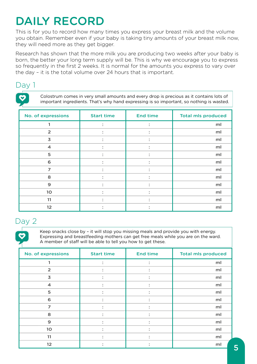# DAILY RECORD

This is for you to record how many times you express your breast milk and the volume you obtain. Remember even if your baby is taking tiny amounts of your breast milk now, they will need more as they get bigger.

Research has shown that the more milk you are producing two weeks after your baby is born, the better your long term supply will be. This is why we encourage you to express so frequently in the first 2 weeks. It is normal for the amounts you express to vary over the day – it is the total volume over 24 hours that is important.

## Dav 1

Colostrum comes in very small amounts and every drop is precious as it contains lots of important ingredients. That's why hand expressing is so important, so nothing is wasted.

| No. of expressions      | <b>Start time</b>             | <b>End time</b>          | <b>Total mls produced</b> |
|-------------------------|-------------------------------|--------------------------|---------------------------|
|                         | $\bullet$                     | ÷                        | ml                        |
| $\overline{2}$          | ٠<br>٠                        |                          | ml                        |
| $\overline{\mathbf{3}}$ | $\ddot{\cdot}$                | ٠<br>$\mathbf{r}$        | ml                        |
| $\overline{\mathbf{4}}$ | ٠<br>$\bullet$                | $\overline{\phantom{a}}$ | ml                        |
| 5                       | ٠<br>$\overline{\phantom{a}}$ | ٠                        | ml                        |
| 6                       | $\bullet$<br>٠                |                          | ml                        |
| $\overline{7}$          | $\bullet$<br>$\bullet$        | ٠                        | ml                        |
| 8                       | $\ddot{\cdot}$                | ٠<br>$\bullet$           | ml                        |
| $\mathbf{9}$            | ٠<br>$\bullet$                |                          | ml                        |
| 10                      | $\overline{\phantom{a}}$      |                          | ml                        |
| 11                      | $\bullet$                     | ٠                        | ml                        |
| 12                      |                               |                          | ml                        |

# Day 2

Keep snacks close by – it will stop you missing meals and provide you with energy. Expressing and breastfeeding mothers can get free meals while you are on the ward. A member of staff will be able to tell you how to get these.

| No. of expressions      | <b>Start time</b>      | <b>End time</b> | <b>Total mls produced</b> |
|-------------------------|------------------------|-----------------|---------------------------|
|                         |                        |                 | ml                        |
| $\overline{2}$          | $\bullet$<br>٠         | ٠               | ml                        |
| $\overline{\mathbf{3}}$ | $\bullet$<br>$\bullet$ | ٠               | ml                        |
| $\overline{\mathbf{A}}$ | $\ddot{\cdot}$         | ÷               | ml                        |
| 5                       | $\bullet$<br>٠         | ٠<br>٠          | ml                        |
| 6                       | $\bullet$<br>٠         |                 | ml                        |
| $\overline{z}$          | $\bullet$              |                 | ml                        |
| 8                       | $\bullet$<br>$\bullet$ | ٠<br>$\bullet$  | ml                        |
| $\mathbf{9}$            | $\bullet$<br>$\bullet$ | $\mathbf{r}$    | ml                        |
| 10                      | $\bullet$<br>٠         |                 | ml                        |
| 11                      | $\bullet$              |                 | ml                        |
| 12                      | ٠                      |                 | ml                        |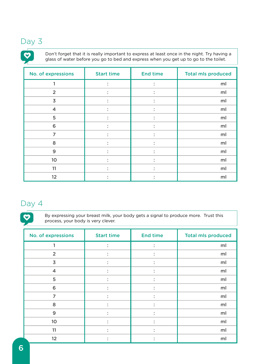# Day 3

 $\ddot{\mathbf{v}}$ 

Don't forget that it is really important to express at least once in the night. Try having a glass of water before you go to bed and express when you get up to go to the toilet.

| No. of expressions      | <b>Start time</b>                 | <b>End time</b>        | <b>Total mls produced</b> |
|-------------------------|-----------------------------------|------------------------|---------------------------|
|                         | $\ddot{\cdot}$                    | $\bullet$              | ml                        |
| 2                       | $\bullet$<br>$\ddot{\phantom{0}}$ |                        | ml                        |
| $\overline{3}$          | $\bullet$<br>$\bullet$            | $\bullet$              | ml                        |
| $\overline{\mathbf{4}}$ | $\ddot{\cdot}$                    | $\ddot{\phantom{a}}$   | ml                        |
| 5                       | $\bullet$<br>$\bullet$            | $\bullet$              | ml                        |
| 6                       | $\bullet$<br>$\ddot{\phantom{0}}$ | $\bullet$              | ml                        |
| 7                       | $\bullet$<br>$\bullet$            | $\bullet$<br>$\bullet$ | ml                        |
| 8                       | $\ddot{\cdot}$                    | $\ddot{\cdot}$         | ml                        |
| 9                       | $\bullet$<br>$\bullet$            | $\bullet$              | ml                        |
| 10                      | $\bullet$<br>$\bullet$            | ٠<br>$\blacksquare$    | ml                        |
| 11                      | $\bullet$<br>$\bullet$            | $\bullet$<br>$\bullet$ | ml                        |
| 12                      | $\bullet$<br>$\ddot{\phantom{0}}$ |                        | ml                        |

# Day 4

 $\boldsymbol{\heartsuit}$ 

By expressing your breast milk, your body gets a signal to produce more. Trust this process, your body is very clever.

| No. of expressions      | <b>Start time</b>      | <b>End time</b>        | <b>Total mls produced</b> |
|-------------------------|------------------------|------------------------|---------------------------|
|                         | $\bullet$              | $\ddot{\cdot}$         | ml                        |
| $\overline{2}$          | $\bullet$              | $\bullet$<br>$\bullet$ | ml                        |
| $\overline{3}$          |                        | $\bullet$              | ml                        |
| $\overline{\mathbf{4}}$ | ٠<br>$\bullet$         | $\ddot{\cdot}$         | ml                        |
| 5                       |                        | $\bullet$<br>$\bullet$ | ml                        |
| 6                       | $\bullet$<br>$\bullet$ | $\ddot{\cdot}$         | ml                        |
| $\overline{7}$          | ٠                      | $\bullet$<br>$\bullet$ | ml                        |
| 8                       | $\ddot{\cdot}$         | $\ddot{\cdot}$         | ml                        |
| 9                       | ٠<br>$\bullet$         | $\bullet$<br>$\bullet$ | ml                        |
| 10 <sub>o</sub>         | $\ddot{\cdot}$         | $\ddot{\cdot}$         | ml                        |
| 11                      |                        | $\bullet$              | ml                        |
| 12                      | $\bullet$              | $\bullet$              | ml                        |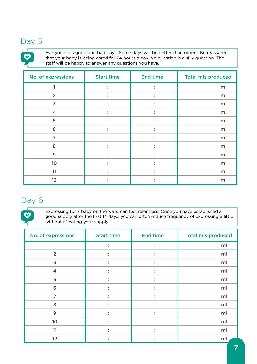# Day 5

Everyone has good and bad days. Some days will be better than others. Be reassured that your baby is being cared for 24 hours a day. No question is a silly question. The staff will be happy to answer any questions you have.

| No. of expressions      | <b>Start time</b>      | <b>End time</b>        | <b>Total mls produced</b> |
|-------------------------|------------------------|------------------------|---------------------------|
|                         | $\ddot{\cdot}$         | $\ddot{\cdot}$         | ml                        |
| 2                       | $\ddot{\cdot}$         | $\bullet$<br>$\bullet$ | ml                        |
| $\overline{3}$          | $\ddot{\phantom{a}}$   | $\ddot{\cdot}$         | ml                        |
| $\overline{\mathbf{4}}$ | $\bullet$<br>$\bullet$ | $\bullet$              | ml                        |
| 5                       | $\bullet$<br>$\bullet$ | $\bullet$<br>$\bullet$ | ml                        |
| 6                       | $\bullet$<br>$\bullet$ | $\bullet$<br>$\bullet$ | ml                        |
| $\overline{7}$          | $\rlap{.}^\circ$       | $\ddot{\cdot}$         | ml                        |
| 8                       | $\bullet$<br>$\bullet$ | ٠<br>$\bullet$         | ml                        |
| 9                       | $\bullet$<br>$\bullet$ | $\bullet$              | ml                        |
| 10                      | $\bullet$<br>$\bullet$ | $\bullet$<br>$\bullet$ | ml                        |
| 11                      | $\bullet$<br>$\bullet$ | $\bullet$<br>$\bullet$ | ml                        |
| 12                      | $\bullet$<br>$\bullet$ |                        | ml                        |

## Day 6

Expressing for a baby on the ward can feel relentless. Once you have established a good supply after the first 14 days, you can often reduce frequency of expressing a little without affecting your supply.

| No. of expressions      | <b>Start time</b>      | <b>End time</b>           | <b>Total mls produced</b> |
|-------------------------|------------------------|---------------------------|---------------------------|
|                         | $\ddot{\cdot}$         | $\ddot{\cdot}$            | ml                        |
| $\overline{2}$          | $\rlap{.}^\circ$       | $\ddot{\cdot}$            | ml                        |
| $\overline{3}$          | $\bullet$<br>$\bullet$ | $\bullet$<br>$\bullet$    | ml                        |
| $\overline{\mathbf{4}}$ | $\ddot{\cdot}$         | $\ddot{\cdot}$            | ml                        |
| 5                       | ٠<br>$\bullet$         | $\bullet$<br>$\bullet$    | ml                        |
| 6                       | $\bullet$<br>$\bullet$ | ٠<br>$\ddot{\phantom{0}}$ | ml                        |
| $\overline{7}$          | ٠<br>$\bullet$         | ٠<br>$\bullet$            | ml                        |
| 8                       | $\ddot{\cdot}$         | $\ddot{\cdot}$            | ml                        |
| 9                       | ٠<br>٠                 | ٠<br>$\bullet$            | ml                        |
| 10                      | ٠<br>٠                 | ٠<br>$\bullet$            | ml                        |
| 11                      | $\bullet$<br>٠         | $\bullet$<br>$\bullet$    | ml                        |
| 12                      | ٠                      |                           | ml                        |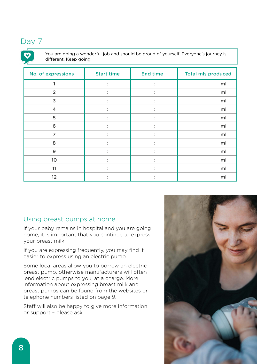# Day 7

You are doing a wonderful job and should be proud of yourself. Everyone's journey is different. Keep going.

| No. of expressions      | <b>Start time</b>                     | <b>End time</b>        | <b>Total mls produced</b> |
|-------------------------|---------------------------------------|------------------------|---------------------------|
|                         | $\bullet$<br>$\bullet$                | ٠<br>$\bullet$         | ml                        |
| 2                       | $\bullet$<br>$\bullet$                |                        | ml                        |
| $\overline{3}$          | $\bullet$<br>$\bullet$                | $\bullet$<br>$\bullet$ | ml                        |
| $\overline{\mathbf{4}}$ | $\bullet$<br>$\bullet$                | $\bullet$<br>$\bullet$ | ml                        |
| 5                       | $\bullet$<br>$\bullet$                | $\bullet$              | ml                        |
| 6                       | $\bullet$<br>$\overline{\phantom{a}}$ |                        | ml                        |
| $\overline{7}$          | $\bullet$<br>$\lambda$                | $\bullet$              | ml                        |
| 8                       | $\bullet$<br>$\bullet$                | $\bullet$<br>$\bullet$ | ml                        |
| 9                       | $\bullet$<br>$\bullet$                | $\bullet$<br>$\bullet$ | ml                        |
| 10                      | $\bullet$<br>$\bullet$                | $\bullet$<br>$\bullet$ | ml                        |
| 11                      | $\bullet$<br>$\bullet$                | $\bullet$              | ml                        |
| 12                      | $\bullet$                             |                        | ml                        |

#### Using breast pumps at home

If your baby remains in hospital and you are going home, it is important that you continue to express your breast milk.

If you are expressing frequently, you may find it easier to express using an electric pump.

Some local areas allow you to borrow an electric breast pump, otherwise manufacturers will often lend electric pumps to you, at a charge. More information about expressing breast milk and breast pumps can be found from the websites or telephone numbers listed on page 9.

Staff will also be happy to give more information or support – please ask.

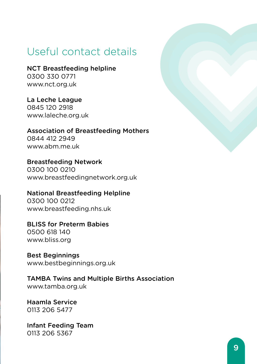# Useful contact details

NCT Breastfeeding helpline 0300 330 0771 www.nct.org.uk

La Leche League 0845 120 2918 www.laleche.org.uk

Association of Breastfeeding Mothers 0844 412 2949 www.abm.me.uk

Breastfeeding Network 0300 100 0210 www.breastfeedingnetwork.org.uk

National Breastfeeding Helpline 0300 100 0212 www.breastfeeding.nhs.uk

BLISS for Preterm Babies 0500 618 140 www.bliss.org

Best Beginnings www.bestbeginnings.org.uk

TAMBA Twins and Multiple Births Association www.tamba.org.uk

Haamla Service 0113 206 5477

Infant Feeding Team 0113 206 5367